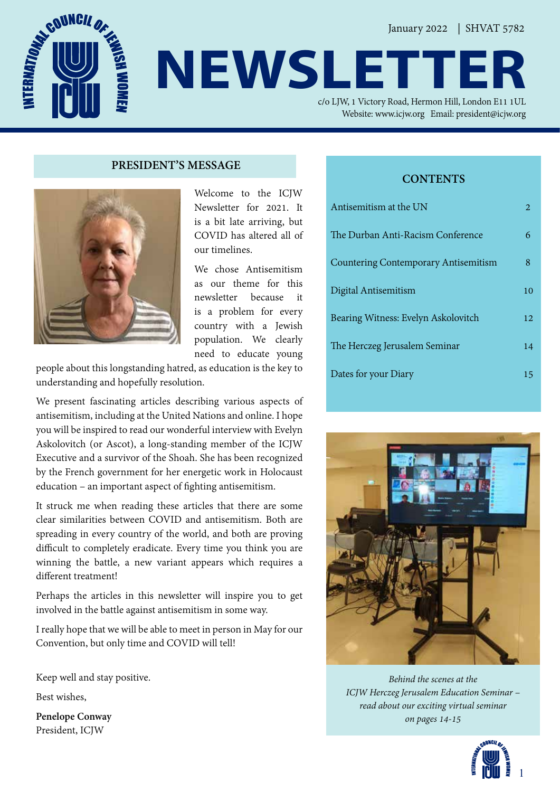**NEWSLETT** 

c/o LJW, 1 Victory Road, Hermon Hill, London E11 1UL Website: www.icjw.org Email: president@icjw.org

#### **PRESIDENT'S MESSAGE**



Welcome to the ICJW Newsletter for 2021. It is a bit late arriving, but COVID has altered all of our timelines.

We chose Antisemitism as our theme for this newsletter because it is a problem for every country with a Jewish population. We clearly need to educate young

people about this longstanding hatred, as education is the key to understanding and hopefully resolution.

We present fascinating articles describing various aspects of antisemitism, including at the United Nations and online. I hope you will be inspired to read our wonderful interview with Evelyn Askolovitch (or Ascot), a long-standing member of the ICJW Executive and a survivor of the Shoah. She has been recognized by the French government for her energetic work in Holocaust education – an important aspect of fighting antisemitism.

It struck me when reading these articles that there are some clear similarities between COVID and antisemitism. Both are spreading in every country of the world, and both are proving difficult to completely eradicate. Every time you think you are winning the battle, a new variant appears which requires a different treatment!

Perhaps the articles in this newsletter will inspire you to get involved in the battle against antisemitism in some way.

I really hope that we will be able to meet in person in May for our Convention, but only time and COVID will tell!

Keep well and stay positive.

Best wishes,

**Penelope Conway** President, ICJW

### **CONTENTS**

| Antisemitism at the UN                      | 2  |
|---------------------------------------------|----|
| The Durban Anti-Racism Conference           | 6  |
| <b>Countering Contemporary Antisemitism</b> | 8  |
| Digital Antisemitism                        | 10 |
| Bearing Witness: Evelyn Askolovitch         | 12 |
| The Herczeg Jerusalem Seminar               | 14 |
| Dates for your Diary                        | 15 |



*Behind the scenes at the ICJW Herczeg Jerusalem Education Seminar – read about our exciting virtual seminar on pages 14-15*

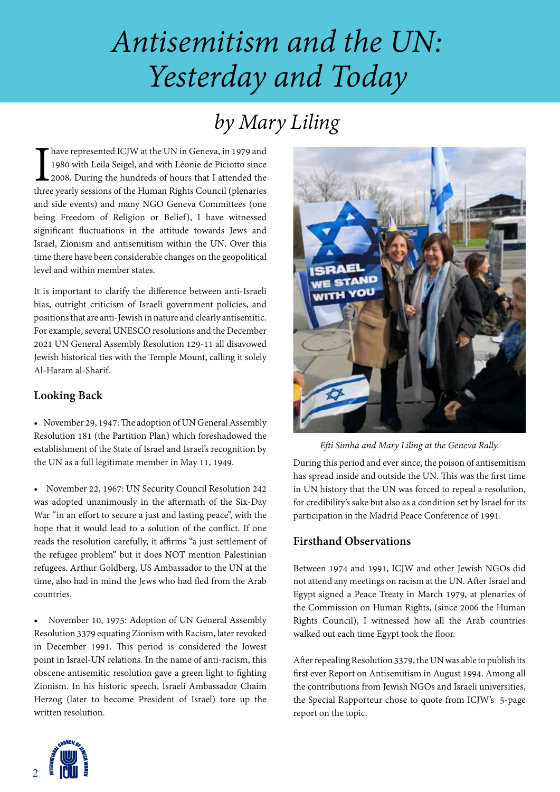# *Antisemitism and the UN: Yesterday and Today*

## *by Mary Liling*

I have represented ICJW at the UN in Geneva, in 1979 and 1980 with Leila Seigel, and with Léonie de Piciotto since 2008. During the hundreds of hours that I attended the three yearly sessions of the Human Rights Council (p have represented ICJW at the UN in Geneva, in 1979 and 1980 with Leila Seigel, and with Léonie de Piciotto since 2008. During the hundreds of hours that I attended the and side events) and many NGO Geneva Committees (one being Freedom of Religion or Belief), I have witnessed significant fluctuations in the attitude towards Jews and Israel, Zionism and antisemitism within the UN. Over this time there have been considerable changes on the geopolitical level and within member states.

It is important to clarify the difference between anti-Israeli bias, outright criticism of Israeli government policies, and positions that are anti-Jewish in nature and clearly antisemitic. For example, several UNESCO resolutions and the December 2021 UN General Assembly Resolution 129-11 all disavowed Jewish historical ties with the Temple Mount, calling it solely Al-Haram al-Sharif.

### **Looking Back**

• November 29, 1947: The adoption of UN General Assembly Resolution 181 (the Partition Plan) which foreshadowed the establishment of the State of Israel and Israel's recognition by the UN as a full legitimate member in May 11, 1949.

• November 22, 1967: UN Security Council Resolution 242 was adopted unanimously in the aftermath of the Six-Day War "in an effort to secure a just and lasting peace", with the hope that it would lead to a solution of the conflict. If one reads the resolution carefully, it affirms "a just settlement of the refugee problem" but it does NOT mention Palestinian refugees. Arthur Goldberg, US Ambassador to the UN at the time, also had in mind the Jews who had fled from the Arab countries.

• November 10, 1975: Adoption of UN General Assembly Resolution 3379 equating Zionism with Racism, later revoked in December 1991. This period is considered the lowest point in Israel-UN relations. In the name of anti-racism, this obscene antisemitic resolution gave a green light to fighting Zionism. In his historic speech, Israeli Ambassador Chaim Herzog (later to become President of Israel) tore up the written resolution.



*Efti Simha and Mary Liling at the Geneva Rally.*

During this period and ever since, the poison of antisemitism has spread inside and outside the UN. This was the first time in UN history that the UN was forced to repeal a resolution, for credibility's sake but also as a condition set by Israel for its participation in the Madrid Peace Conference of 1991.

### **Firsthand Observations**

Between 1974 and 1991, ICJW and other Jewish NGOs did not attend any meetings on racism at the UN. After Israel and Egypt signed a Peace Treaty in March 1979, at plenaries of the Commission on Human Rights, (since 2006 the Human Rights Council), I witnessed how all the Arab countries walked out each time Egypt took the floor.

After repealing Resolution 3379, the UN was able to publish its first ever Report on Antisemitism in August 1994. Among all the contributions from Jewish NGOs and Israeli universities, the Special Rapporteur chose to quote from ICJW's 5-page report on the topic.

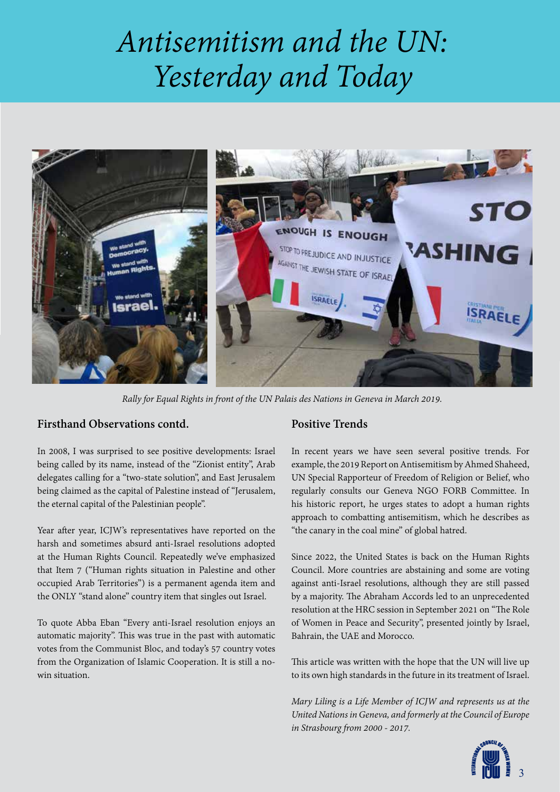# *Antisemitism and the UN: Yesterday and Today*



*Rally for Equal Rights in front of the UN Palais des Nations in Geneva in March 2019.* 

#### **Firsthand Observations contd.**

In 2008, I was surprised to see positive developments: Israel being called by its name, instead of the "Zionist entity", Arab delegates calling for a "two-state solution", and East Jerusalem being claimed as the capital of Palestine instead of "Jerusalem, the eternal capital of the Palestinian people".

Year after year, ICJW's representatives have reported on the harsh and sometimes absurd anti-Israel resolutions adopted at the Human Rights Council. Repeatedly we've emphasized that Item 7 ("Human rights situation in Palestine and other occupied Arab Territories") is a permanent agenda item and the ONLY "stand alone" country item that singles out Israel.

To quote Abba Eban "Every anti-Israel resolution enjoys an automatic majority". This was true in the past with automatic votes from the Communist Bloc, and today's 57 country votes from the Organization of Islamic Cooperation. It is still a nowin situation.

#### **Positive Trends**

In recent years we have seen several positive trends. For example, the 2019 Report on Antisemitism by Ahmed Shaheed, UN Special Rapporteur of Freedom of Religion or Belief, who regularly consults our Geneva NGO FORB Committee. In his historic report, he urges states to adopt a human rights approach to combatting antisemitism, which he describes as "the canary in the coal mine" of global hatred.

Since 2022, the United States is back on the Human Rights Council. More countries are abstaining and some are voting against anti-Israel resolutions, although they are still passed by a majority. The Abraham Accords led to an unprecedented resolution at the HRC session in September 2021 on "The Role of Women in Peace and Security", presented jointly by Israel, Bahrain, the UAE and Morocco.

This article was written with the hope that the UN will live up to its own high standards in the future in its treatment of Israel.

*Mary Liling is a Life Member of ICJW and represents us at the United Nations in Geneva, and formerly at the Council of Europe in Strasbourg from 2000 - 2017.* 

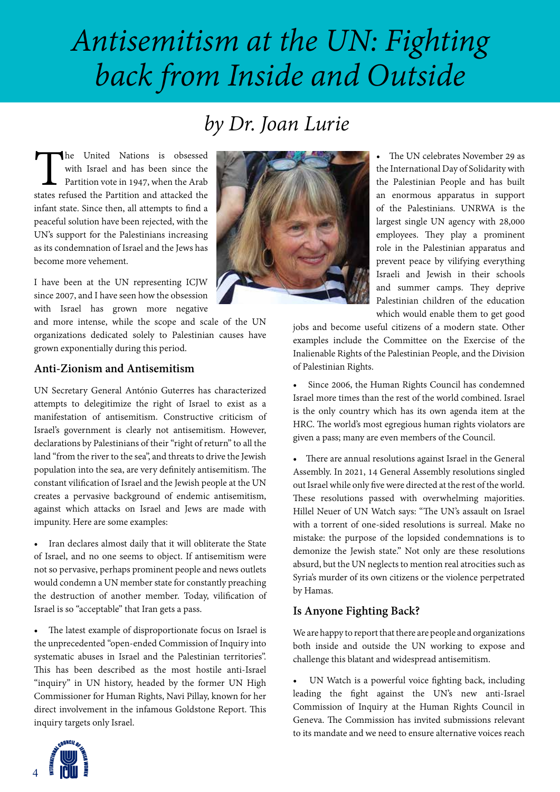# *Antisemitism at the UN: Fighting back from Inside and Outside*

### *by Dr. Joan Lurie*

The United Nations is obsessed with Israel and has been since the Partition vote in 1947, when the Arab states refused the Partition and attacked the with Israel and has been since the Partition vote in 1947, when the Arab infant state. Since then, all attempts to find a peaceful solution have been rejected, with the UN's support for the Palestinians increasing as its condemnation of Israel and the Jews has become more vehement.

I have been at the UN representing ICJW since 2007, and I have seen how the obsession with Israel has grown more negative

and more intense, while the scope and scale of the UN organizations dedicated solely to Palestinian causes have grown exponentially during this period.

#### **Anti-Zionism and Antisemitism**

UN Secretary General António Guterres has characterized attempts to delegitimize the right of Israel to exist as a manifestation of antisemitism. Constructive criticism of Israel's government is clearly not antisemitism. However, declarations by Palestinians of their "right of return" to all the land "from the river to the sea", and threats to drive the Jewish population into the sea, are very definitely antisemitism. The constant vilification of Israel and the Jewish people at the UN creates a pervasive background of endemic antisemitism, against which attacks on Israel and Jews are made with impunity. Here are some examples:

• Iran declares almost daily that it will obliterate the State of Israel, and no one seems to object. If antisemitism were not so pervasive, perhaps prominent people and news outlets would condemn a UN member state for constantly preaching the destruction of another member. Today, vilification of Israel is so "acceptable" that Iran gets a pass.

• The latest example of disproportionate focus on Israel is the unprecedented "open-ended Commission of Inquiry into systematic abuses in Israel and the Palestinian territories". This has been described as the most hostile anti-Israel "inquiry" in UN history, headed by the former UN High Commissioner for Human Rights, Navi Pillay, known for her direct involvement in the infamous Goldstone Report. This inquiry targets only Israel.



• The UN celebrates November 29 as the International Day of Solidarity with the Palestinian People and has built an enormous apparatus in support of the Palestinians. UNRWA is the largest single UN agency with 28,000 employees. They play a prominent role in the Palestinian apparatus and prevent peace by vilifying everything Israeli and Jewish in their schools and summer camps. They deprive Palestinian children of the education which would enable them to get good

jobs and become useful citizens of a modern state. Other examples include the Committee on the Exercise of the Inalienable Rights of the Palestinian People, and the Division of Palestinian Rights.

• Since 2006, the Human Rights Council has condemned Israel more times than the rest of the world combined. Israel is the only country which has its own agenda item at the HRC. The world's most egregious human rights violators are given a pass; many are even members of the Council.

• There are annual resolutions against Israel in the General Assembly. In 2021, 14 General Assembly resolutions singled out Israel while only five were directed at the rest of the world. These resolutions passed with overwhelming majorities. Hillel Neuer of UN Watch says: "The UN's assault on Israel with a torrent of one-sided resolutions is surreal. Make no mistake: the purpose of the lopsided condemnations is to demonize the Jewish state." Not only are these resolutions absurd, but the UN neglects to mention real atrocities such as Syria's murder of its own citizens or the violence perpetrated by Hamas.

#### **Is Anyone Fighting Back?**

We are happy to report that there are people and organizations both inside and outside the UN working to expose and challenge this blatant and widespread antisemitism.

• UN Watch is a powerful voice fighting back, including leading the fight against the UN's new anti-Israel Commission of Inquiry at the Human Rights Council in Geneva. The Commission has invited submissions relevant to its mandate and we need to ensure alternative voices reach

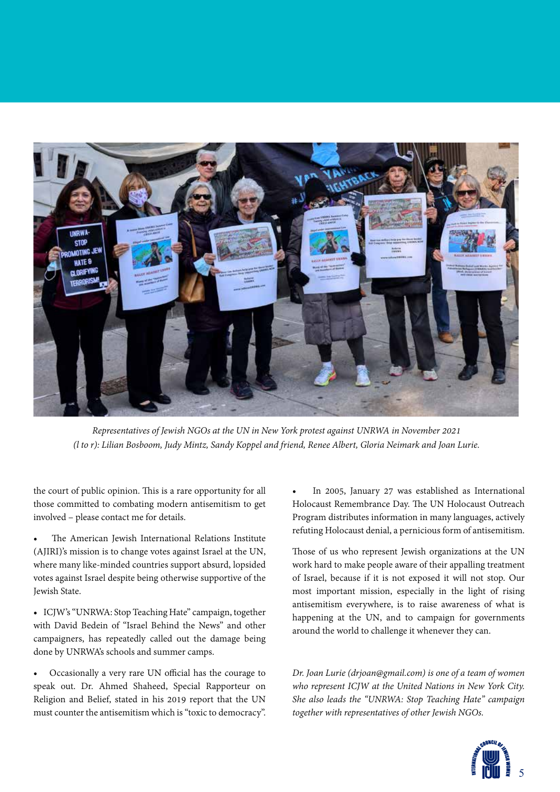

*Representatives of Jewish NGOs at the UN in New York protest against UNRWA in November 2021 (l to r): Lilian Bosboom, Judy Mintz, Sandy Koppel and friend, Renee Albert, Gloria Neimark and Joan Lurie.* 

the court of public opinion. This is a rare opportunity for all those committed to combating modern antisemitism to get involved – please contact me for details.

The American Jewish International Relations Institute (AJIRI)'s mission is to change votes against Israel at the UN, where many like-minded countries support absurd, lopsided votes against Israel despite being otherwise supportive of the Jewish State.

• ICJW's "UNRWA: Stop Teaching Hate" campaign, together with David Bedein of "Israel Behind the News" and other campaigners, has repeatedly called out the damage being done by UNRWA's schools and summer camps.

• Occasionally a very rare UN official has the courage to speak out. Dr. Ahmed Shaheed, Special Rapporteur on Religion and Belief, stated in his 2019 report that the UN must counter the antisemitism which is "toxic to democracy".

• In 2005, January 27 was established as International Holocaust Remembrance Day. The UN Holocaust Outreach Program distributes information in many languages, actively refuting Holocaust denial, a pernicious form of antisemitism.

Those of us who represent Jewish organizations at the UN work hard to make people aware of their appalling treatment of Israel, because if it is not exposed it will not stop. Our most important mission, especially in the light of rising antisemitism everywhere, is to raise awareness of what is happening at the UN, and to campaign for governments around the world to challenge it whenever they can.

*Dr. Joan Lurie (drjoan@gmail.com) is one of a team of women who represent ICJW at the United Nations in New York City. She also leads the "UNRWA: Stop Teaching Hate" campaign together with representatives of other Jewish NGOs.* 

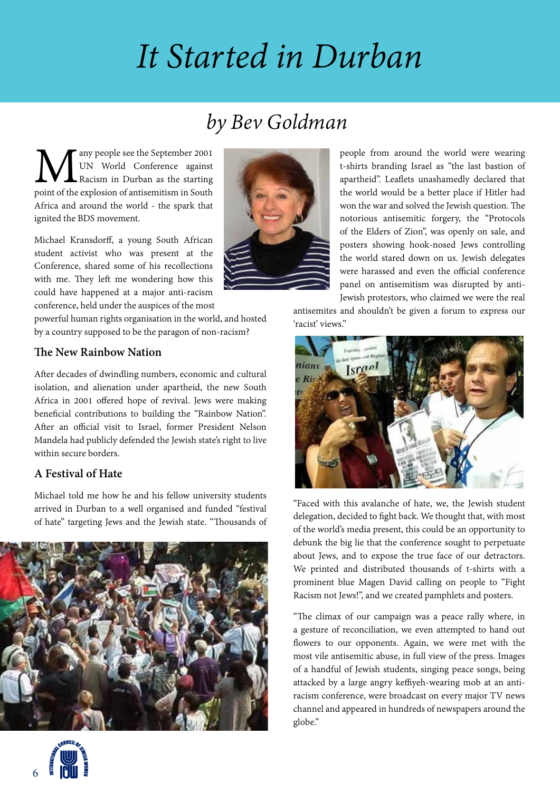# *It Started in Durban*

## *by Bev Goldman*

**M** any people see the September 2001<br>
UN World Conference against<br>
point of the explosion of antisemitism in South UN World Conference against Racism in Durban as the starting Africa and around the world - the spark that ignited the BDS movement.

Michael Kransdorff, a young South African student activist who was present at the Conference, shared some of his recollections with me. They left me wondering how this could have happened at a major anti-racism conference, held under the auspices of the most

powerful human rights organisation in the world, and hosted by a country supposed to be the paragon of non-racism?

### **The New Rainbow Nation**

After decades of dwindling numbers, economic and cultural isolation, and alienation under apartheid, the new South Africa in 2001 offered hope of revival. Jews were making beneficial contributions to building the "Rainbow Nation". After an official visit to Israel, former President Nelson Mandela had publicly defended the Jewish state's right to live within secure borders.

### **A Festival of Hate**

Michael told me how he and his fellow university students arrived in Durban to a well organised and funded "festival of hate" targeting Jews and the Jewish state. "Thousands of







people from around the world were wearing t-shirts branding Israel as "the last bastion of apartheid". Leaflets unashamedly declared that the world would be a better place if Hitler had won the war and solved the Jewish question. The notorious antisemitic forgery, the "Protocols of the Elders of Zion", was openly on sale, and posters showing hook-nosed Jews controlling the world stared down on us. Jewish delegates were harassed and even the official conference panel on antisemitism was disrupted by anti-Jewish protestors, who claimed we were the real

antisemites and shouldn't be given a forum to express our 'racist' views."



"Faced with this avalanche of hate, we, the Jewish student delegation, decided to fight back. We thought that, with most of the world's media present, this could be an opportunity to debunk the big lie that the conference sought to perpetuate about Jews, and to expose the true face of our detractors. We printed and distributed thousands of t-shirts with a prominent blue Magen David calling on people to "Fight Racism not Jews!", and we created pamphlets and posters.

"The climax of our campaign was a peace rally where, in a gesture of reconciliation, we even attempted to hand out flowers to our opponents. Again, we were met with the most vile antisemitic abuse, in full view of the press. Images of a handful of Jewish students, singing peace songs, being attacked by a large angry keffiyeh-wearing mob at an antiracism conference, were broadcast on every major TV news channel and appeared in hundreds of newspapers around the globe."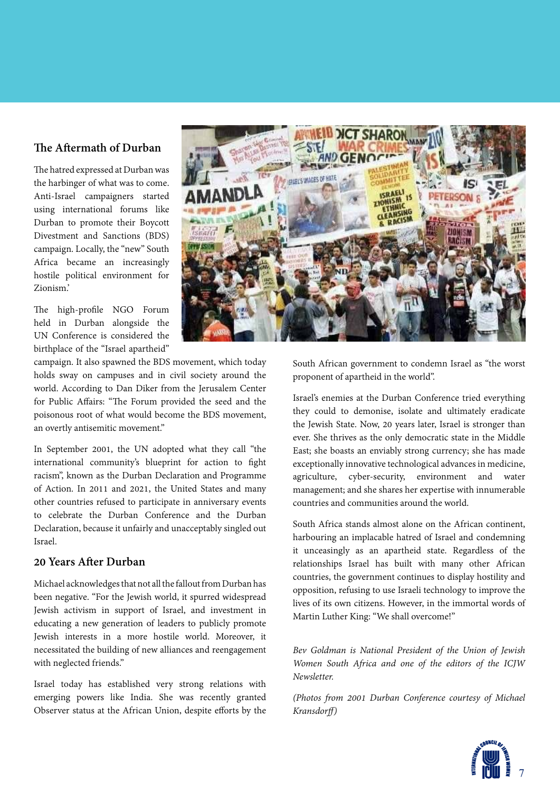#### **The Aftermath of Durban**

The hatred expressed at Durban was the harbinger of what was to come. Anti-Israel campaigners started using international forums like Durban to promote their Boycott Divestment and Sanctions (BDS) campaign. Locally, the "new" South Africa became an increasingly hostile political environment for Zionism.'

The high-profile NGO Forum held in Durban alongside the UN Conference is considered the birthplace of the "Israel apartheid"

campaign. It also spawned the BDS movement, which today holds sway on campuses and in civil society around the world. According to Dan Diker from the Jerusalem Center for Public Affairs: "The Forum provided the seed and the poisonous root of what would become the BDS movement, an overtly antisemitic movement."

In September 2001, the UN adopted what they call "the international community's blueprint for action to fight racism", known as the Durban Declaration and Programme of Action. In 2011 and 2021, the United States and many other countries refused to participate in anniversary events to celebrate the Durban Conference and the Durban Declaration, because it unfairly and unacceptably singled out Israel.

#### **20 Years After Durban**

Michael acknowledges that not all the fallout from Durban has been negative. "For the Jewish world, it spurred widespread Jewish activism in support of Israel, and investment in educating a new generation of leaders to publicly promote Jewish interests in a more hostile world. Moreover, it necessitated the building of new alliances and reengagement with neglected friends."

Israel today has established very strong relations with emerging powers like India. She was recently granted Observer status at the African Union, despite efforts by the



South African government to condemn Israel as "the worst proponent of apartheid in the world".

Israel's enemies at the Durban Conference tried everything they could to demonise, isolate and ultimately eradicate the Jewish State. Now, 20 years later, Israel is stronger than ever. She thrives as the only democratic state in the Middle East; she boasts an enviably strong currency; she has made exceptionally innovative technological advances in medicine, agriculture, cyber-security, environment and water management; and she shares her expertise with innumerable countries and communities around the world.

South Africa stands almost alone on the African continent, harbouring an implacable hatred of Israel and condemning it unceasingly as an apartheid state. Regardless of the relationships Israel has built with many other African countries, the government continues to display hostility and opposition, refusing to use Israeli technology to improve the lives of its own citizens. However, in the immortal words of Martin Luther King: "We shall overcome!"

*Bev Goldman is National President of the Union of Jewish Women South Africa and one of the editors of the ICJW Newsletter.*

*(Photos from 2001 Durban Conference courtesy of Michael Kransdorff)*

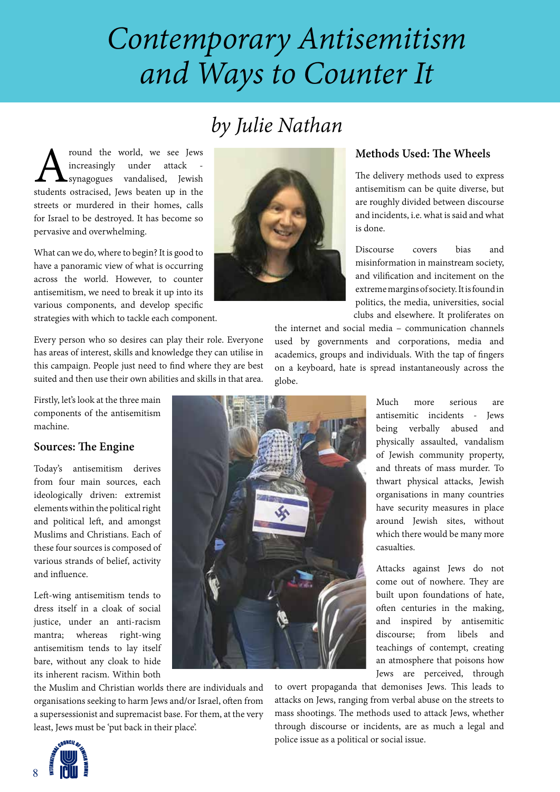# *Contemporary Antisemitism and Ways to Counter It*

## *by Julie Nathan*

**A** round the world, we see Jews<br>
increasingly under attack -<br>
synagogues vandalised, Jewish<br>
students ostracised, Jews beaten up in the increasingly under attack synagogues vandalised, Jewish streets or murdered in their homes, calls for Israel to be destroyed. It has become so pervasive and overwhelming.

What can we do, where to begin? It is good to have a panoramic view of what is occurring across the world. However, to counter antisemitism, we need to break it up into its various components, and develop specific strategies with which to tackle each component.

Every person who so desires can play their role. Everyone has areas of interest, skills and knowledge they can utilise in this campaign. People just need to find where they are best suited and then use their own abilities and skills in that area.

Firstly, let's look at the three main components of the antisemitism machine.

#### **Sources: The Engine**

Today's antisemitism derives from four main sources, each ideologically driven: extremist elements within the political right and political left, and amongst Muslims and Christians. Each of these four sources is composed of various strands of belief, activity and influence.

Left-wing antisemitism tends to dress itself in a cloak of social justice, under an anti-racism mantra; whereas right-wing antisemitism tends to lay itself bare, without any cloak to hide its inherent racism. Within both the Muslim and Christian worlds there are individuals and

least, Jews must be 'put back in their place'.

organisations seeking to harm Jews and/or Israel, often from a supersessionist and supremacist base. For them, at the very



### **Methods Used: The Wheels**

The delivery methods used to express antisemitism can be quite diverse, but are roughly divided between discourse and incidents, i.e. what is said and what is done.

Discourse covers bias and misinformation in mainstream society, and vilification and incitement on the extreme margins of society. It is found in politics, the media, universities, social clubs and elsewhere. It proliferates on

the internet and social media – communication channels used by governments and corporations, media and academics, groups and individuals. With the tap of fingers on a keyboard, hate is spread instantaneously across the globe.



Attacks against Jews do not come out of nowhere. They are built upon foundations of hate, often centuries in the making, and inspired by antisemitic discourse; from libels and teachings of contempt, creating an atmosphere that poisons how Jews are perceived, through

to overt propaganda that demonises Jews. This leads to attacks on Jews, ranging from verbal abuse on the streets to mass shootings. The methods used to attack Jews, whether through discourse or incidents, are as much a legal and police issue as a political or social issue.

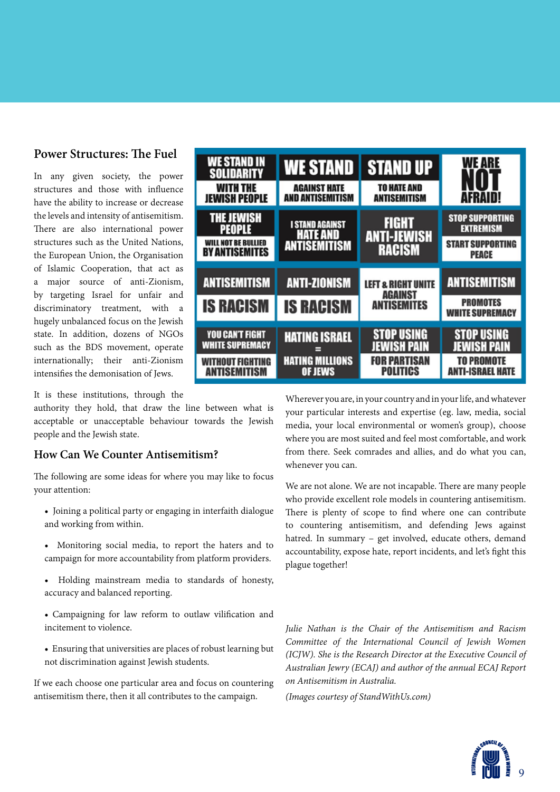#### **Power Structures: The Fuel**

In any given society, the power structures and those with influence have the ability to increase or decrease the levels and intensity of antisemitism. There are also international power structures such as the United Nations, the European Union, the Organisation of Islamic Cooperation, that act as a major source of anti-Zionism, by targeting Israel for unfair and discriminatory treatment, with a hugely unbalanced focus on the Jewish state. In addition, dozens of NGOs such as the BDS movement, operate internationally; their anti-Zionism intensifies the demonisation of Jews.

It is these institutions, through the

authority they hold, that draw the line between what is acceptable or unacceptable behaviour towards the Jewish people and the Jewish state.

#### **How Can We Counter Antisemitism?**

The following are some ideas for where you may like to focus your attention:

- Joining a political party or engaging in interfaith dialogue and working from within.
- Monitoring social media, to report the haters and to campaign for more accountability from platform providers.
- Holding mainstream media to standards of honesty, accuracy and balanced reporting.
- Campaigning for law reform to outlaw vilification and incitement to violence.
- Ensuring that universities are places of robust learning but not discrimination against Jewish students.

If we each choose one particular area and focus on countering antisemitism there, then it all contributes to the campaign.



Wherever you are, in your country and in your life, and whatever your particular interests and expertise (eg. law, media, social media, your local environmental or women's group), choose where you are most suited and feel most comfortable, and work from there. Seek comrades and allies, and do what you can, whenever you can.

We are not alone. We are not incapable. There are many people who provide excellent role models in countering antisemitism. There is plenty of scope to find where one can contribute to countering antisemitism, and defending Jews against hatred. In summary – get involved, educate others, demand accountability, expose hate, report incidents, and let's fight this plague together!

*Julie Nathan is the Chair of the Antisemitism and Racism Committee of the International Council of Jewish Women (ICJW). She is the Research Director at the Executive Council of Australian Jewry (ECAJ) and author of the annual ECAJ Report on Antisemitism in Australia.*

*(Images courtesy of StandWithUs.com)*

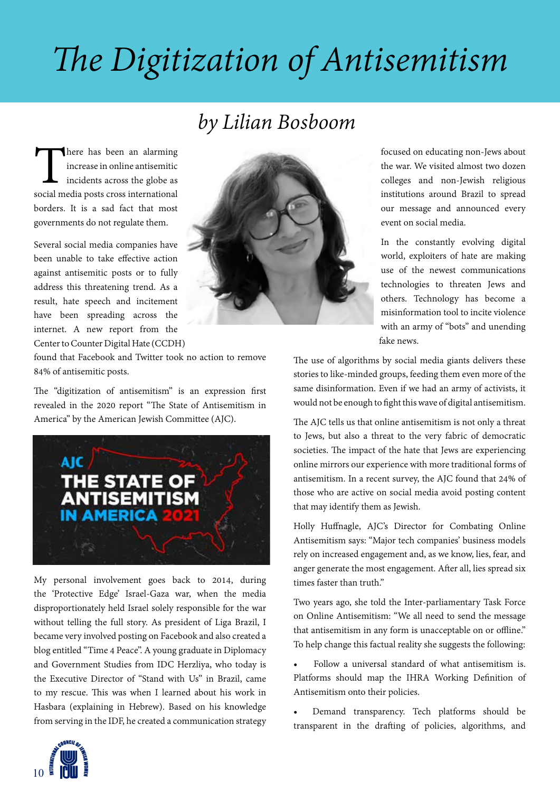# *The Digitization of Antisemitism*

### *by Lilian Bosboom*

There has been an alarming<br>
increase in online antisemitic<br>
incidents across the globe as<br>
social media posts cross international increase in online antisemitic incidents across the globe as borders. It is a sad fact that most governments do not regulate them.

Several social media companies have been unable to take effective action against antisemitic posts or to fully address this threatening trend. As a result, hate speech and incitement have been spreading across the internet. A new report from the Center to Counter Digital Hate (CCDH)



found that Facebook and Twitter took no action to remove 84% of antisemitic posts.

The "digitization of antisemitism" is an expression first revealed in the 2020 report "The State of Antisemitism in America" by the American Jewish Committee (AJC).



My personal involvement goes back to 2014, during the 'Protective Edge' Israel-Gaza war, when the media disproportionately held Israel solely responsible for the war without telling the full story. As president of Liga Brazil, I became very involved posting on Facebook and also created a blog entitled "Time 4 Peace". A young graduate in Diplomacy and Government Studies from IDC Herzliya, who today is the Executive Director of "Stand with Us" in Brazil, came to my rescue. This was when I learned about his work in Hasbara (explaining in Hebrew). Based on his knowledge from serving in the IDF, he created a communication strategy

focused on educating non-Jews about the war. We visited almost two dozen colleges and non-Jewish religious institutions around Brazil to spread our message and announced every event on social media.

In the constantly evolving digital world, exploiters of hate are making use of the newest communications technologies to threaten Jews and others. Technology has become a misinformation tool to incite violence with an army of "bots" and unending fake news.

The use of algorithms by social media giants delivers these stories to like-minded groups, feeding them even more of the same disinformation. Even if we had an army of activists, it would not be enough to fight this wave of digital antisemitism.

The AJC tells us that online antisemitism is not only a threat to Jews, but also a threat to the very fabric of democratic societies. The impact of the hate that Jews are experiencing online mirrors our experience with more traditional forms of antisemitism. In a recent survey, the AJC found that 24% of those who are active on social media avoid posting content that may identify them as Jewish.

Holly Huffnagle, AJC's Director for Combating Online Antisemitism says: "Major tech companies' business models rely on increased engagement and, as we know, lies, fear, and anger generate the most engagement. After all, lies spread six times faster than truth."

Two years ago, she told the Inter-parliamentary Task Force on Online Antisemitism: "We all need to send the message that antisemitism in any form is unacceptable on or offline." To help change this factual reality she suggests the following:

• Follow a universal standard of what antisemitism is. Platforms should map the IHRA Working Definition of Antisemitism onto their policies.

• Demand transparency. Tech platforms should be transparent in the drafting of policies, algorithms, and

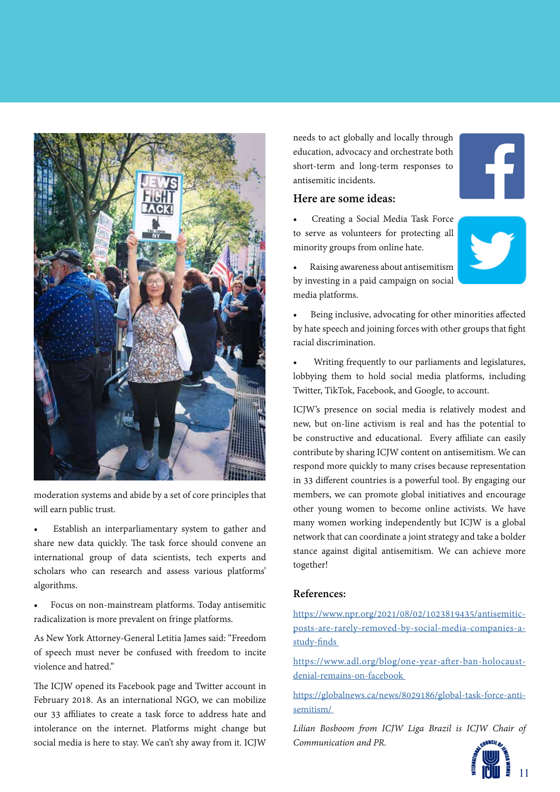

moderation systems and abide by a set of core principles that will earn public trust.

Establish an interparliamentary system to gather and share new data quickly. The task force should convene an international group of data scientists, tech experts and scholars who can research and assess various platforms' algorithms.

• Focus on non-mainstream platforms. Today antisemitic radicalization is more prevalent on fringe platforms.

As New York Attorney-General Letitia James said: "Freedom of speech must never be confused with freedom to incite violence and hatred."

The ICJW opened its Facebook page and Twitter account in February 2018. As an international NGO, we can mobilize our 33 affiliates to create a task force to address hate and intolerance on the internet. Platforms might change but social media is here to stay. We can't shy away from it. ICJW

needs to act globally and locally through education, advocacy and orchestrate both short-term and long-term responses to antisemitic incidents.

#### **Here are some ideas:**

• Creating a Social Media Task Force to serve as volunteers for protecting all minority groups from online hate.





• Raising awareness about antisemitism by investing in a paid campaign on social media platforms.

• Being inclusive, advocating for other minorities affected by hate speech and joining forces with other groups that fight racial discrimination.

• Writing frequently to our parliaments and legislatures, lobbying them to hold social media platforms, including Twitter, TikTok, Facebook, and Google, to account.

ICJW's presence on social media is relatively modest and new, but on-line activism is real and has the potential to be constructive and educational. Every affiliate can easily contribute by sharing ICJW content on antisemitism. We can respond more quickly to many crises because representation in 33 different countries is a powerful tool. By engaging our members, we can promote global initiatives and encourage other young women to become online activists. We have many women working independently but ICJW is a global network that can coordinate a joint strategy and take a bolder stance against digital antisemitism. We can achieve more together!

#### **References:**

https://www.npr.org/2021/08/02/1023819435/antisemiticposts-are-rarely-removed-by-social-media-companies-astudy-finds

https://www.adl.org/blog/one-year-after-ban-holocaustdenial-remains-on-facebook

https://globalnews.ca/news/8029186/global-task-force-antisemitism/

*Lilian Bosboom from ICJW Liga Brazil is ICJW Chair of Communication and PR.*

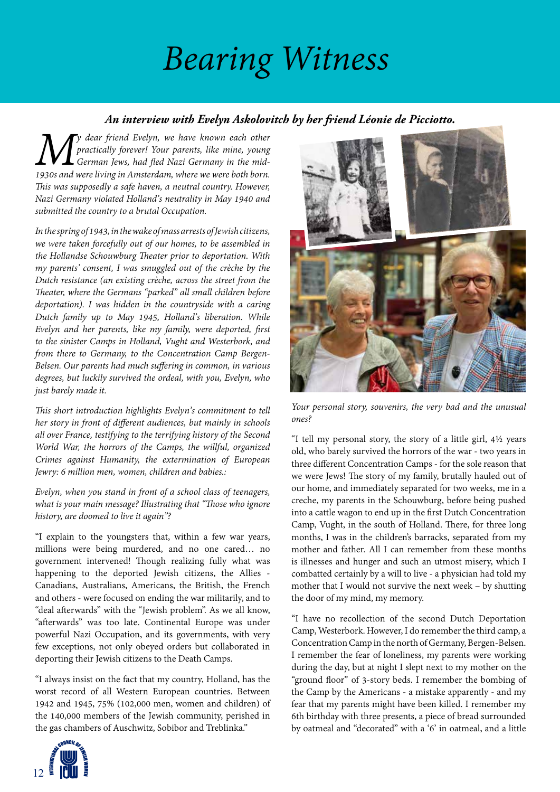# *Bearing Witness*

#### *An interview with Evelyn Askolovitch by her friend Léonie de Picciotto.*

*M y dear friend Evelyn, we have known each other practically forever! Your parents, like mine, young German Jews, had fled Nazi Germany in the mid-1930s and were living in Amsterdam, where we were both born. This was supposedly a safe haven, a neutral country. However, Nazi Germany violated Holland's neutrality in May 1940 and submitted the country to a brutal Occupation.* 

*In the spring of 1943, in the wake of mass arrests of Jewish citizens, we were taken forcefully out of our homes, to be assembled in the Hollandse Schouwburg Theater prior to deportation. With my parents' consent, I was smuggled out of the crèche by the Dutch resistance (an existing crèche, across the street from the Theater, where the Germans "parked" all small children before deportation). I was hidden in the countryside with a caring Dutch family up to May 1945, Holland's liberation. While Evelyn and her parents, like my family, were deported, first to the sinister Camps in Holland, Vught and Westerbork, and from there to Germany, to the Concentration Camp Bergen-Belsen. Our parents had much suffering in common, in various degrees, but luckily survived the ordeal, with you, Evelyn, who just barely made it.*

*This short introduction highlights Evelyn's commitment to tell her story in front of different audiences, but mainly in schools all over France, testifying to the terrifying history of the Second World War, the horrors of the Camps, the willful, organized Crimes against Humanity, the extermination of European Jewry: 6 million men, women, children and babies.:*

*Evelyn, when you stand in front of a school class of teenagers, what is your main message? Illustrating that "Those who ignore history, are doomed to live it again"?*

"I explain to the youngsters that, within a few war years, millions were being murdered, and no one cared… no government intervened! Though realizing fully what was happening to the deported Jewish citizens, the Allies - Canadians, Australians, Americans, the British, the French and others - were focused on ending the war militarily, and to "deal afterwards" with the "Jewish problem". As we all know, "afterwards" was too late. Continental Europe was under powerful Nazi Occupation, and its governments, with very few exceptions, not only obeyed orders but collaborated in deporting their Jewish citizens to the Death Camps.

"I always insist on the fact that my country, Holland, has the worst record of all Western European countries. Between 1942 and 1945, 75% (102,000 men, women and children) of the 140,000 members of the Jewish community, perished in the gas chambers of Auschwitz, Sobibor and Treblinka."





*Your personal story, souvenirs, the very bad and the unusual ones?*

"I tell my personal story, the story of a little girl, 4½ years old, who barely survived the horrors of the war - two years in three different Concentration Camps - for the sole reason that we were Jews! The story of my family, brutally hauled out of our home, and immediately separated for two weeks, me in a creche, my parents in the Schouwburg, before being pushed into a cattle wagon to end up in the first Dutch Concentration Camp, Vught, in the south of Holland. There, for three long months, I was in the children's barracks, separated from my mother and father. All I can remember from these months is illnesses and hunger and such an utmost misery, which I combatted certainly by a will to live - a physician had told my mother that I would not survive the next week – by shutting the door of my mind, my memory.

"I have no recollection of the second Dutch Deportation Camp, Westerbork. However, I do remember the third camp, a Concentration Camp in the north of Germany, Bergen-Belsen. I remember the fear of loneliness, my parents were working during the day, but at night I slept next to my mother on the "ground floor" of 3-story beds. I remember the bombing of the Camp by the Americans - a mistake apparently - and my fear that my parents might have been killed. I remember my 6th birthday with three presents, a piece of bread surrounded by oatmeal and "decorated" with a '6' in oatmeal, and a little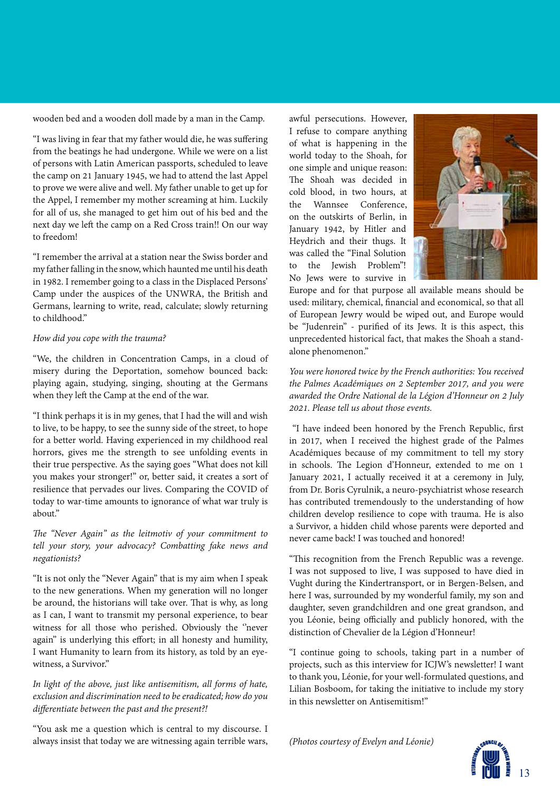wooden bed and a wooden doll made by a man in the Camp.

"I was living in fear that my father would die, he was suffering from the beatings he had undergone. While we were on a list of persons with Latin American passports, scheduled to leave the camp on 21 January 1945, we had to attend the last Appel to prove we were alive and well. My father unable to get up for the Appel, I remember my mother screaming at him. Luckily for all of us, she managed to get him out of his bed and the next day we left the camp on a Red Cross train!! On our way to freedom!

"I remember the arrival at a station near the Swiss border and my father falling in the snow, which haunted me until his death in 1982. I remember going to a class in the Displaced Persons' Camp under the auspices of the UNWRA, the British and Germans, learning to write, read, calculate; slowly returning to childhood."

#### *How did you cope with the trauma?*

"We, the children in Concentration Camps, in a cloud of misery during the Deportation, somehow bounced back: playing again, studying, singing, shouting at the Germans when they left the Camp at the end of the war.

"I think perhaps it is in my genes, that I had the will and wish to live, to be happy, to see the sunny side of the street, to hope for a better world. Having experienced in my childhood real horrors, gives me the strength to see unfolding events in their true perspective. As the saying goes "What does not kill you makes your stronger!" or, better said, it creates a sort of resilience that pervades our lives. Comparing the COVID of today to war-time amounts to ignorance of what war truly is about"

*The "Never Again" as the leitmotiv of your commitment to tell your story, your advocacy? Combatting fake news and negationists?*

"It is not only the "Never Again" that is my aim when I speak to the new generations. When my generation will no longer be around, the historians will take over. That is why, as long as I can, I want to transmit my personal experience, to bear witness for all those who perished. Obviously the "never again" is underlying this effort; in all honesty and humility, I want Humanity to learn from its history, as told by an eyewitness, a Survivor."

#### *In light of the above, just like antisemitism, all forms of hate, exclusion and discrimination need to be eradicated; how do you differentiate between the past and the present?!*

"You ask me a question which is central to my discourse. I always insist that today we are witnessing again terrible wars, awful persecutions. However, I refuse to compare anything of what is happening in the world today to the Shoah, for one simple and unique reason: The Shoah was decided in cold blood, in two hours, at<br>the Wannsee Conference Wannsee Conference on the outskirts of Berlin, in January 1942, by Hitler and Heydrich and their thugs. It was called the "Final Solution to the Jewish Problem"! No Jews were to survive in



Europe and for that purpose all available means should be used: military, chemical, financial and economical, so that all of European Jewry would be wiped out, and Europe would be "Judenrein" - purified of its Jews. It is this aspect, this unprecedented historical fact, that makes the Shoah a standalone phenomenon."

*You were honored twice by the French authorities: You received the Palmes Académiques on 2 September 2017, and you were awarded the Ordre National de la Légion d'Honneur on 2 July 2021. Please tell us about those events.*

 "I have indeed been honored by the French Republic, first in 2017, when I received the highest grade of the Palmes Académiques because of my commitment to tell my story in schools. The Legion d'Honneur, extended to me on 1 January 2021, I actually received it at a ceremony in July, from Dr. Boris Cyrulnik, a neuro-psychiatrist whose research has contributed tremendously to the understanding of how children develop resilience to cope with trauma. He is also a Survivor, a hidden child whose parents were deported and never came back! I was touched and honored!

"This recognition from the French Republic was a revenge. I was not supposed to live, I was supposed to have died in Vught during the Kindertransport, or in Bergen-Belsen, and here I was, surrounded by my wonderful family, my son and daughter, seven grandchildren and one great grandson, and you Léonie, being officially and publicly honored, with the distinction of Chevalier de la Légion d'Honneur!

"I continue going to schools, taking part in a number of projects, such as this interview for ICJW's newsletter! I want to thank you, Léonie, for your well-formulated questions, and Lilian Bosboom, for taking the initiative to include my story in this newsletter on Antisemitism!"

*(Photos courtesy of Evelyn and Léonie)* 

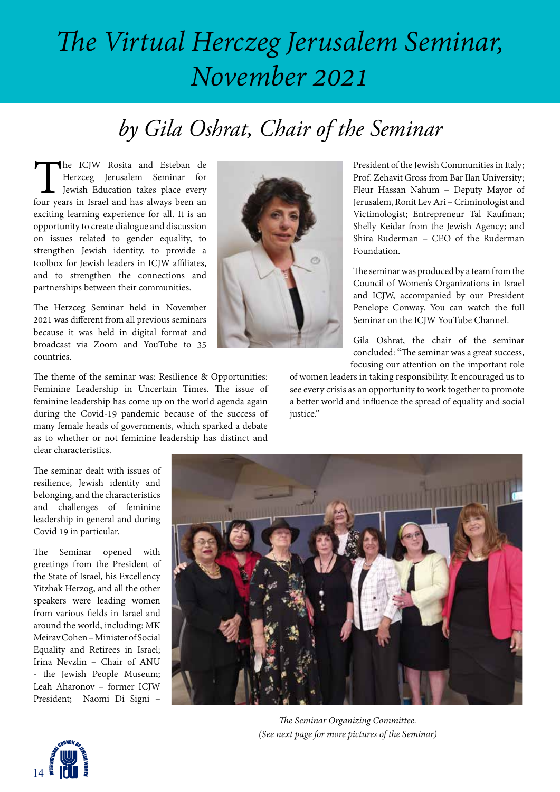## *The Virtual Herczeg Jerusalem Seminar, November 2021*

## *by Gila Oshrat, Chair of the Seminar*

The ICJW Rosita and Esteban de Herzceg Jerusalem Seminar for Jewish Education takes place every four years in Israel and has always been an Herzceg Jerusalem Seminar for Jewish Education takes place every exciting learning experience for all. It is an opportunity to create dialogue and discussion on issues related to gender equality, to strengthen Jewish identity, to provide a toolbox for Jewish leaders in ICJW affiliates, and to strengthen the connections and partnerships between their communities.

The Herzceg Seminar held in November 2021 was different from all previous seminars because it was held in digital format and broadcast via Zoom and YouTube to 35 countries.

The theme of the seminar was: Resilience & Opportunities: Feminine Leadership in Uncertain Times. The issue of feminine leadership has come up on the world agenda again during the Covid-19 pandemic because of the success of many female heads of governments, which sparked a debate as to whether or not feminine leadership has distinct and clear characteristics.

President of the Jewish Communities in Italy; Prof. Zehavit Gross from Bar Ilan University; Fleur Hassan Nahum – Deputy Mayor of Jerusalem, Ronit Lev Ari – Criminologist and Victimologist; Entrepreneur Tal Kaufman; Shelly Keidar from the Jewish Agency; and Shira Ruderman – CEO of the Ruderman Foundation.

The seminar was produced by a team from the Council of Women's Organizations in Israel and ICJW, accompanied by our President Penelope Conway. You can watch the full Seminar on the ICJW YouTube Channel.

Gila Oshrat, the chair of the seminar concluded: "The seminar was a great success, focusing our attention on the important role

of women leaders in taking responsibility. It encouraged us to see every crisis as an opportunity to work together to promote a better world and influence the spread of equality and social justice."

The seminar dealt with issues of resilience, Jewish identity and belonging, and the characteristics and challenges of feminine leadership in general and during Covid 19 in particular.

The Seminar opened with greetings from the President of the State of Israel, his Excellency Yitzhak Herzog, and all the other speakers were leading women from various fields in Israel and around the world, including: MK Meirav Cohen – Minister of Social Equality and Retirees in Israel; Irina Nevzlin – Chair of ANU - the Jewish People Museum; Leah Aharonov – former ICJW President; Naomi Di Signi –







14